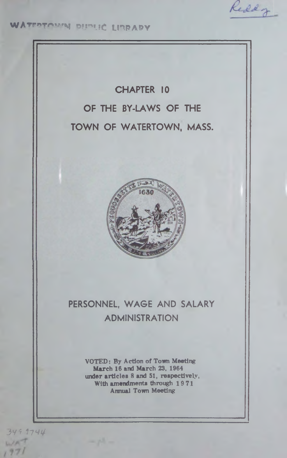Reddy

WATEPTOMAN BUDLIC LIBRAPY

# CHAPTER 10 OF THE BY-LAWS OF THE TOWN OF WATERTOWN, MASS.



## PERSONNEL, WAGE AND SALARY ADMINISTRATION

**VOTED: By Action of Town Meeting March 16 and March 23, 1964 under articles 8 and 51, respectively, With amendments through 19 71 Annual Town Meeting**

3Y\* *1 7 \*41+*97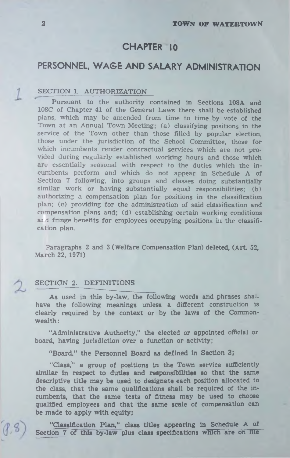## CHAPTER 10

## PERSONNEL, WAGE AND SALARY ADMINISTRATION

#### SECTION 1. AUTHORIZATION

Pursuant to the authority contained in Sections 108A and 108C of Chapter 41 of the General Laws there shall be established plans, which may be amended from time to time by vote of the Town at an Annual Town Meeting; (a) classifying positions in the service of the Town other than those filled by popular election, those under the jurisdiction of the School Committee, those for which incumbents render contractual services which are not provided during regularly established working hours and those which are essentially seasonal with respect to the duties which the incumbents perform and which do not appear in Schedule A of Section 7 following, into groups and classes doing substantially similar work or having substantially equal responsibilities; (b) authorizing a compensation plan for positions in the classification plan; (c) providing for the administration of said classification and compensation plans and; (d) establishing certain working conditions and fringe benefits for employees occupying positions in the classification plan.

Paragraphs 2 and 3 (Welfare Compensation Plan) deleted, (Art. 52, March 22, 1971)

#### SECTION 2. DEFINITIONS

As used in this by-law, the following words and phrases shall have the following meanings unless a different construction is clearly required by the context or by the laws of the Commonwealth :

"Administrative Authority," the elected or appointed official or board, having jurisdiction over a function or activity;

**"Board," the Personnel Board as defined in Section 3;**

"Class," a group of positions in the Town service sufficiently similar in respect to duties and responsibilities so that the same descriptive title may be used to designate each position allocated to the class, that the same qualifications shall be required of the incumbents, that the same tests of fitness may be used to choose qualified employees and that the same scale of compensation can be made to apply with equity;

" Classification Plan," class titles appearing in Schedule A of Section 7 of this by-law plus class specifications which are on file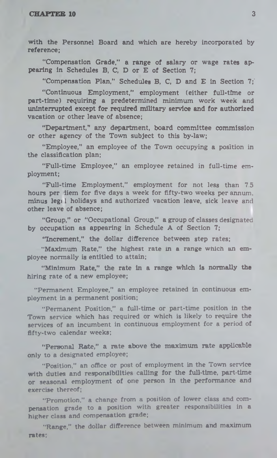with the Personnel Board and which are hereby incorporated by reference;

"Compensation Grade," a range of salary or wage rates appearing in Schedules B, C, D or E of Section 7;

"Compensation Plan," Schedules B, C, D and E in Section 7;'

" Continuous Employment," employment (either full-time or part-time) requiring a predetermined minimum work week and uninterrupted except for required military service and for authorized vacation or other leave of absence;

"Department," any department, board committee commission or other agency of the Town subject to this by-law;

"Employee," an employee of the Town occupying a position in the classification plan;

"Full-time Employee," an employee retained in full-time employment;

"Full-time Employment," employment for not less than 7.5 hours per diem for five days a week for fifty-two weeks per annum, minus leg; 1 holidays and authorized vacation leave, sick leave and other leave of absence;

"Group," or "Occupational Group," a group of classes designated by occupation as appearing in Schedule A of Section 7;

"Increment," the dollar difference between step rates;

"Maximum Rate," the highest rate in a range which an employee normally is entitled to attain;

"Minimum Rate," the rate in a range which is normally the hiring rate of a new employee;

"Permanent Employee," an employee retained in continuous employment in a permanent position;

"Permanent Position," a full-time or part-time position in the Town service which has required or which is likely to require the services of an incumbent in continuous employment for a period of fifty-two calendar weeks;

" Personal Rate," a rate above the maximum rate applicable only to a designated employee;

"Position," an office or post of employment in the Town service with duties and responsibilities calling for the full-time, part-time or seasonal employment of one person in the performance and exercise thereof;

"Promotion," a change from a position of lower class and compensation grade to a position with greater responsibilities in a higher class and compensation grade;

"Range," the dollar difference between minimum and maximum rates;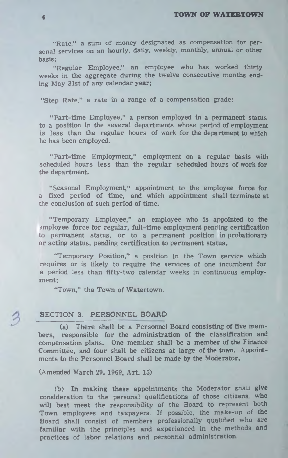"Rate," a sum of money designated as compensation for personal services on an hourly, daily, weekly, monthly, annual or other basis;

"Regular Employee," an employee who has worked thirty weeks in the aggregate during the twelve consecutive months ending May 31st of any calendar year;

"Step Rate," a rate in a range of a compensation grade:

"Part-time Employee," a person employed in a permanent status to a position in the several departments whose period of employment is less than the regular hours of work for the department to which he has been employed.

"Part-time Employment," employment on a regular basis with scheduled hours less than the regular scheduled hours of work for the department.

"Seasonal Employment," appointment to the employee force for a fixed period of time, and which appointment shall terminate at the conclusion of such period of time.

"Temporary Employee," an employee who is appointed to the amployee force for regular, full-time employment pending certification to permanent status, or to a permanent position in probationary or acting status, pending certification to permanent status.

'Temporary Position," a position in the Town service which requires or is likely to require the services of one incumbent for a period less than fifty-two calendar weeks in continuous employment;

"Town," the Town of Watertown.

#### **SECTION 3. PERSONNEL BOARD**

(a) There shall be a Personnel Board consisting of five members, responsible for the administration of the classification and compensation plans. One member shall be a member of the Finance Committee, and four shall be citizens at large of the town. Appointments to the Personnel Board shall be made by the Moderator.

(Amended March 29. 1969, Art. 15)

(b) In making these appointments the Moderator shali give consideration to the personal qualifications of those citizens, who will best meet the responsibility of the Board to represent both Town employees and taxpayers. If possible, the make-up of the Board shall consist of members professionally qualified who are familiar with the principles and experienced in the methods and practices of labor relations and personnel administration.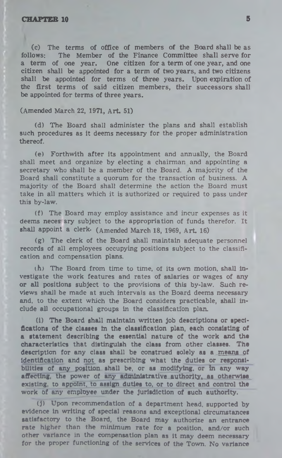(c) The terms of office of members of the Board shall be as follows: The Member of the Finance Committee shall serve for a term of one year. One citizen for a term of one year, and one citizen shall be appointed for a term of two years, and two citizens shall be appointed for terms of three years. Upon expiration of the first terms of said citizen members, their successors shall be appointed for terms of three years.

#### (Amended March 22, 1971, Art. 51)

(d) The Board shall administer the plans and shall establish such procedures as it deems necessary for the proper administration thereof.

(e) Forthwith after its appointment and annually, the Board shall meet and organize by electing a chairman and appointing a secretary who shall be a member of the Board. A majority of the Board shall constitute a quorum for the transaction of business. A majority of the Board shall determine the action the Board must take in all matters which it is authorized or required to pass under this by-law.

(f) The Board may employ assistance and incur expenses as it deems neces ary subject to the appropriation of funds therefor. It shall appoint a clerk. (Amended March 18, 1969, Art. 16)

(g) The clerk of the Board shall maintain adequate personnel records of all employees occupying positions subject to the classification and compensation plans.

 $(h)$  The Board from time to time, of its own motion, shall investigate the work features and rates of salaries or wages of any **or all** positions subject to the provisions of this by-law. Such reviews shall be made at such intervals as the Board deems necessary and, to the extent which the Board considers practicable, shall include all occupational groups in the classification plan.

**(1) The Board shall maintain written Job descriptions or specifications of the classes in the classification plan, each consisting of a statement describing the essential nature of the work and the characteristics that distinguish the class from other classes. The description for any class shall be construed solely as a means of** identification and not as prescribing what the duties or responsi**bilities of any position shall be, or as modifying, or In any way affecting, the power of any administrative authority, as otherwise existing, to aprolnt, to assign duties to, or to direct and control the work of any employee under the jurisdiction of such authority.**

(1) Upon recommendation of a department head, supported by **evidence In writing of special reasons and exceptional circumstances satisfactory to the Board, the Board may authorize an entrance rate higher than the minimum rate for a position, and/or such other variance in the compensation plan as it may deem necessary for the proper functioning of the services of the Town. No variance**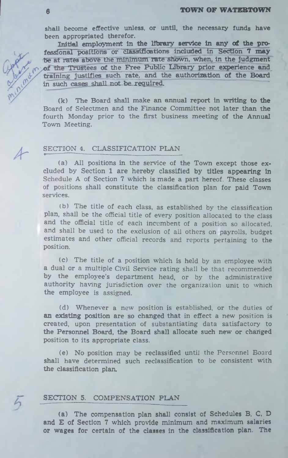shall become effective unless, or until, the necessary funds have been appropriated therefor.

Initial employment in the library service in any of the professional positions or classifications included in Section 7 may be at rates above the minimum rate shown, when, in the judgment of the Trustees of the Free Public Library prior experience and training justifies such rate, and the authorization of the Board in such cases shall not be required.

 $(k)$  The Board shall make an annual report in writing to the Board of Selectmen and the Finance Committee not later than the fourth Monday prior to the first business meeting of the Annual Town Meeting.

#### SECTION 4. CLASSIFICATION PLAN t --- -------- -----------------------------------------------------------------

(a) All positions in the service of the Town except those  $ex$ cluded by Section 1 are hereby classified by titles appearing in Schedule A of Section 7 which is made a part hereof. These classes of positions shall constitute the classification plan for paid Town services.

(b) The title of each class, as established by the classification plan, shall be the official title of every position allocated to the class and the official title of each incumbent of a position so allocated, and shall be used to the exclusion of all others on payrolls, budget estim ates and other official records and reports pertaining to the position.

(c) The title of a position which is held by an employee with a dual or a multiple Civil Service rating shall be that recommended by the employee's department head, or by the administrative authority having jurisdiction over the organization unit to which the employee is assigned.

(d) Whenever a new position is established, or the duties of an existing position are so changed that in effect a new position is created, upon presentation of substantiating data satisfactory to the Personnel Board, the Board shall allocate such new or changed position to its appropriate class.

(e) No position may be reclassified until the Personnel Board shall have determined such reclassification to be consistent with the classification plan.

#### SECTION 5. COMPENSATION PLAN

(a) The compensation plan shall consist of Schedules B, C, D and E of Section 7 which provide minimum and maximum salaries or wages for certain of the classes in the classification plan. The

 $\mathcal{A}^-$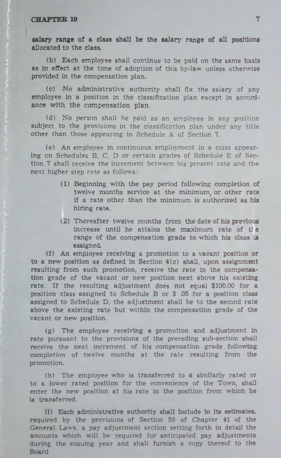salary range of a class shall be the salary range of all positions allocated to the class.

(b) Each employee shall continue to be paid on the same basis as in effect at the time of adoption of this by-law unless otherwise provided in the compensation plan.

(c) No administrative authority shall fix the salary of any employee in a position in the classification plan except in accordance with the compensation plan.

(d) No person shall be paid as an employee in any position subject to the provisions in the classification plan under any title other than those appearing in Schedule A of Section 7.

(e) An employee in continuous employment in a class appearing on Schedules B, C, D or certain grades of Schedule E of Section 7 shall receive the increment between his present rate and the next higher step rate as follows:

- **(1)** Beginning with the pay period following completion of twelve months service at the minimum, or other rate if a rate other than the minimum is authorized as his hiring rate.
- (2) Thereafter twelve months from the date of his previous increase until he attains the maximum rate of the range of the compensation grade to which his class is assigned.

(f) An employee receiving a promotion to a vacant position or to a new position as defined in Section 4(c) shall, upon assignment resulting from such promotion, receive the rate in the compensation grade of the vacant or new position next above his existing rate. If the resulting adjustment does not equal \$100.00 for a position class assigned to Schedule B or \$ .05 for a position class assigned to Schedule D, the adjustment shall be to the second rate above the existing rate but within the compensation grade of the vacant or new position.

(g) The employee receiving a promotion and adjustment in rate pursuant to the provisions of the preceding sub-section shall receive the next increment of his compensation grade following completion of twelve months at the rate resulting from the promotion.

(h) The employee who is transferred to a similarly rated or to a lower rated position for the convenience of the Town, shall enter the new position at his rate in the position from which he is transferred.

(i) Each administrative authority shall include in its estimates, required by the provisions of Section 59 of Chapter 41 of the General Laws, a pay adjustment section setting forth in detail the amounts which will be required for anticipated pay adjustments during the ensuing year and shall furnish a copy thereof to the Board.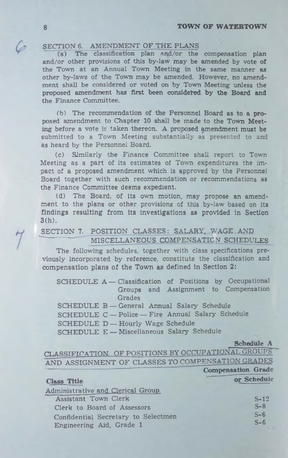#### SECTION 6. AMENDMENT OF THE PLANS

(a) The classification plan and/or the compensation plan and/or other provisions of this by-law may be amended by vote of the Town at an Annual Town Meeting in the same manner as other by-laws of the Town may be amended. However, no amendment shall be considered or voted on by Town Meeting unless the proposed amendment has first been **considered by the Board and** the Finance Committee.

(b) The recommendation of the Personnel Board as to a **pro**posed amendment to Chapter 10 shall be made to the Town Meeting before a vote is taken thereon. A proposed amendment must be submitted to a Town Meeting substantially as presented to and as heard by the Personnel Board.

(c) Similarly the Finance Committee shall report to Town Meeting as a part of its estimates of Town expenditures the impact of a proposed amendment which is approved by the Personnel Board together with such recommendation or recommendations as the Finance Committee deems expedient.

(d) The Board, of its own motion, may propose an amendment to the plans or other provisions of this by-law based on its findings resulting from Its Investigations as provided in Section 3(h).

#### SECTION 7. POSITION CLASSES: SALARY, WAGE AND MISCELLANEOUS COMPENSATION SCHEDULES

The following schedules, together with class specifications previously incorporated by reference, constitute the classification and compensation plans of the Town as defined in Section 2:

SCHEDULE A -- Classification of Positions by Occupational Groups and Assignment to Compensation Grades SCHEDULE B — General Annual Salary Schedule

SCHEDULE C — Police — Fire Annual Salary Schedule

SCHEDULE D — Hourly Wage Schedule

SCHEDULE E — Miscellaneous Salary Schedule

**Schedule A**

CLASSIFICATION OF POSITIONS BY OCCUPATIONAL GROUPS AND ASSIGNMENT OF CLASSES TO COMPENSATION GRADES **Compensation Grade**

| <b>Class Title</b>                  | or Schedule |
|-------------------------------------|-------------|
| Administrative and Clerical Group   |             |
| Assistant Town Clerk                | $S-12$      |
| Clerk to Board of Assessors         | $S-8$       |
| Confidential Secretary to Selectmen | $S-6$       |
| Engineering Aid, Grade 1            | $S - 6$     |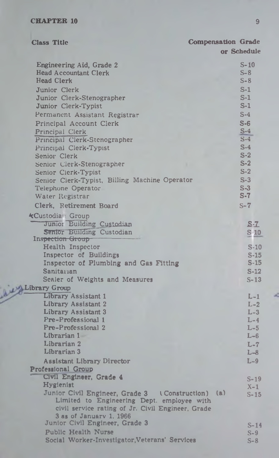بعنفذ

| <b>Class Title</b>                                                                                                                                   | <b>Compensation Grade</b> |                          |
|------------------------------------------------------------------------------------------------------------------------------------------------------|---------------------------|--------------------------|
|                                                                                                                                                      |                           | or Schedule              |
| Engineering Aid, Grade 2<br><b>Head Accountant Clerk</b><br><b>Head Clerk</b>                                                                        |                           | $S-10$<br>$S-8$<br>$S-8$ |
| Junior Clerk                                                                                                                                         |                           | $S-1$                    |
| Junior Clerk-Stenographer                                                                                                                            |                           | $S-1$                    |
| Junior Clerk-Typist                                                                                                                                  |                           | $S-1$                    |
| Permanent Assistant Registrar                                                                                                                        |                           | $S-4$                    |
| Principal Account Clerk                                                                                                                              |                           | $S-6$                    |
| Principal Clerk                                                                                                                                      |                           | $S-4$                    |
| Principal Clerk-Stenographer                                                                                                                         |                           | $S-4$                    |
| Principal Clerk-Typist                                                                                                                               |                           | $S-4$                    |
| Senior Clerk                                                                                                                                         |                           | $S-2$                    |
| Senior Clerk-Stenographer                                                                                                                            |                           | $S-2$                    |
| Senior Clerk-Typist                                                                                                                                  |                           | $S-2$<br>$S-3$           |
| Senior Clerk-Typist, Billing Machine Operator<br>Telephone Operator                                                                                  |                           | $S-3$                    |
| Water Registrar                                                                                                                                      |                           | $S-7$                    |
| Clerk, Retirement Board                                                                                                                              |                           | $S-7$                    |
|                                                                                                                                                      |                           |                          |
| <b>kCustodian Group</b>                                                                                                                              |                           |                          |
| Junior Building Custodian<br>Senior Building Custodian                                                                                               |                           | $S - Z$                  |
| Inspection Group                                                                                                                                     |                           | S <sub>10</sub>          |
| Health Inspector                                                                                                                                     |                           | $S-10$                   |
| Inspector of Buildings                                                                                                                               |                           | $S-15$                   |
| Inspector of Plumbing and Gas Fitting                                                                                                                |                           | $S-15$                   |
| Sanitarian                                                                                                                                           |                           | $S-12$                   |
| Scaler of Weights and Measures                                                                                                                       |                           | $S-13$                   |
| Library Group                                                                                                                                        |                           |                          |
| Library Assistant 1                                                                                                                                  |                           | $L-1$                    |
| Library Assistant 2                                                                                                                                  |                           | $L-2$                    |
| Library Assistant 3<br>Pre-Professional 1                                                                                                            |                           | $L-3$                    |
| Pre-Professional 2                                                                                                                                   |                           | $L-4$<br>$L-5$           |
| Librarian 1                                                                                                                                          |                           | $L - 6$                  |
| Librarian 2                                                                                                                                          |                           | $L-7$                    |
| Librarian 3                                                                                                                                          |                           | $L - 8$                  |
| Assistant Library Director                                                                                                                           |                           | $L-9$                    |
| Professional Group                                                                                                                                   |                           |                          |
| Civil Engineer, Grade 4                                                                                                                              |                           | $S-19$                   |
| Hygienist                                                                                                                                            |                           | $X-1$                    |
| Junior Civil Engineer, Grade 3 (Construction) (a)<br>Limited to Engineering Dept. employee with<br>civil service rating of Jr. Civil Engineer, Grade |                           | $S-15$                   |
| 3 as of January 1, 1966                                                                                                                              |                           |                          |
| Junior Civil Engineer, Grade 3                                                                                                                       |                           | $S-1$                    |
| Public Health Nurse                                                                                                                                  |                           | $S-9$                    |
| Social Worker-Investigator, Veterans' Services                                                                                                       |                           | $S - B$                  |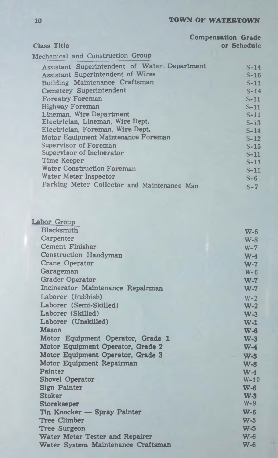|                                              | <b>Compensation Grade</b> |
|----------------------------------------------|---------------------------|
| <b>Class Title</b>                           | or Schedule               |
| Mechanical and Construction Group            |                           |
| Assistant Superintendent of Water Department | $S-14$                    |
| Assistant Superintendent of Wires            | $S-16$                    |
| Building Maintenance Craftsman               | $S-11$                    |
| Cemetery Superintendent                      | $S-14$                    |
| <b>Forestry Foreman</b>                      | S-11                      |
| Highway Foreman                              | $S-11$                    |
| Lineman, Wire Department                     | $S-11$                    |
| Electrician, Lineman, Wire Dept.             | $S - 13$                  |
| Electrician, Foreman, Wire Dept.             | $S-14$                    |
| Motor Equipment Maintenance Foreman          | $S-12$                    |
| Supervisor of Foreman                        | $S-15$                    |
| Supervisor of Incinerator                    | $S-11$                    |
| Time Keeper                                  | S-11                      |
| Water Construction Foreman                   | $S-11$                    |
| Water Meter Inspector                        | $S-6$                     |
| Parking Meter Collector and Maintenance Man  | $S-7$                     |

| $W-6$                                       |
|---------------------------------------------|
| $W-8$                                       |
| $W - 7$                                     |
| $W-4$                                       |
| $W-7$                                       |
| $W - 6$                                     |
| $W-7$                                       |
| $W-7$                                       |
| $W - 2$                                     |
| $W-2$                                       |
| $W-3$                                       |
| $W-1$                                       |
| $W-6$                                       |
| Motor Equipment Operator, Grade 1<br>$W-3$  |
| $W-4$                                       |
| $W-5$                                       |
| $W-S$                                       |
| $W-4$                                       |
| $W-10$                                      |
| $W - 6$                                     |
| W <sub>3</sub>                              |
| $W-9$                                       |
| $W - 6$                                     |
| $W-5$                                       |
| $W-5$                                       |
| $W - 6$                                     |
| $W-6$<br>Water System Maintenance Craftsman |
|                                             |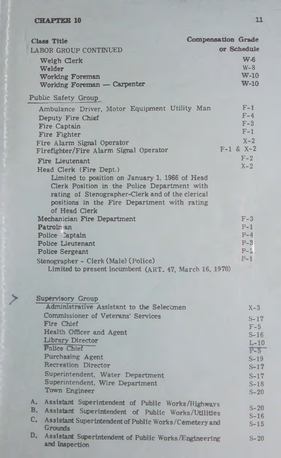| <b>Class Title</b>                                                                                                                                                                                                                                                | <b>Compensation Grade</b>                                |
|-------------------------------------------------------------------------------------------------------------------------------------------------------------------------------------------------------------------------------------------------------------------|----------------------------------------------------------|
| LABOR GROUP CONTINUED                                                                                                                                                                                                                                             | or Schedule                                              |
| Weigh Clerk<br>Welder<br><b>Working Foreman</b><br>Working Foreman - Carpenter                                                                                                                                                                                    | $W_{\text{c}}$<br>$W-8$<br>$W-10$<br>$W-10$              |
| <b>Public Safety Group</b>                                                                                                                                                                                                                                        |                                                          |
| Ambulance Driver, Motor Equipment Utility Man<br>Deputy Fire Chief<br>Fire Captain<br>Fire Fighter<br>Fire Alarm Signal Operator<br>Firefighter/Fire Alarm Signal Operator                                                                                        | $F-1$<br>$F-4$<br>$F-3$<br>$F-1$<br>$X-2$<br>$F-1$ & X-2 |
| Fire Lieutenant<br>Head Clerk (Fire Dept.)<br>Limited to position on January 1, 1966 of Head<br>Clerk Position in the Police Department with<br>rating of Stenographer-Clerk and of the clerical<br>positions in the Fire Department with rating<br>of Head Clerk | $F-2$<br>$X - 2$                                         |
| Mechanician Fire Department<br><b>Patrolnian</b><br>Police Captain<br>Police Lieutenant<br><b>Police Sergeant</b><br>Stenographer - Clerk (Male) (Police)<br>Limited to present incumbent (ART. 47, March 16, 1970)                                               | $F-3$<br>$P-1$<br>$P-4$<br>$P-3$<br>$P-2$<br>$P-1$       |
|                                                                                                                                                                                                                                                                   |                                                          |

|          | <b>Supervisory Group</b>                                                                                |                  |
|----------|---------------------------------------------------------------------------------------------------------|------------------|
|          | Administrative Assistant to the Selectmen                                                               | $X-3$            |
|          | <b>Commissioner of Veterans' Services</b>                                                               | $S-17$           |
|          | Fire Chief                                                                                              | $F-5$            |
|          | <b>Health Officer and Agent</b>                                                                         | $S-16$           |
|          | Library Director                                                                                        | $L-10$           |
|          | Police Chief                                                                                            | $P - 5$          |
|          | <b>Purchasing Agent</b>                                                                                 | $S-19$           |
|          | <b>Recreation Director</b>                                                                              | $S-17$           |
|          | Superintendent, Water Department                                                                        | $S-17$           |
|          | Superintendent, Wire Department                                                                         | $S-18$           |
|          | Town Engineer                                                                                           | $S-20$           |
| Α.<br>B. | Assistant Superintendent of Public Works/Highways<br>Assistant Superintendent of Public Works/Utilities | $S-20$<br>$S-16$ |
| C.       | Assistant Superintendent of Public Works/Cemetery and                                                   | $S - 15$         |
|          | Grounds                                                                                                 |                  |
| D.       | Assistant Superintendent of Public Works/Engineering<br>and Inspection                                  | $S-20$           |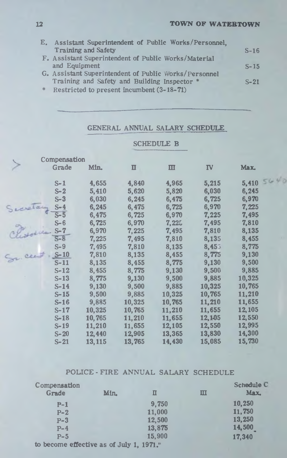$440$ 

|   | E. Assistant Superintendent of Public Works/Personnel, |        |
|---|--------------------------------------------------------|--------|
|   | <b>Training and Safety</b>                             | $S-16$ |
|   | F. Assistant Superintendent of Public Works/Material   |        |
|   | and Equipment                                          | $S-15$ |
|   | G. Assistant Superintendent of Public Works/Personnel  |        |
|   | Training and Safety and Building Inspector *           | $S-21$ |
| 幸 | Restricted to present incumbent (3-18-71)              |        |

### GENERAL ANNUAL SALARY SCHEDULE

SCHEDULE B

|        | Compensation      |         |                |              |           |        |
|--------|-------------------|---------|----------------|--------------|-----------|--------|
|        | Grade             | Min.    | $\blacksquare$ | $\mathbf{m}$ | <b>IV</b> | Max.   |
|        | $S-1$             | 4,655   | 4,840          | 4,965        | 5,215     | 5,410  |
|        | $S-2$             | 5,410   | 5,620          | 5,820        | 6,030     | 6,245  |
|        | $S-3$             | 6,030   | 6,245          | 6,475        | 6,725     | 6,970  |
| inglas | $S-4$             | 6,245   | 6,475          | 6,725        | 6,970     | 7,225  |
|        | $\overline{S}$ -5 | 6,475   | 6,725          | 6,970        | 7,225     | 7,495  |
|        | $S - 6$           | 6,725   | 6,970          | 7,225        | 7,495     | 7,810  |
|        | $S-7$             | 6,970   | 7,225          | 7,495        | 7,810     | 8,135  |
|        | $S-8$             | 7,225   | 7,495          | 7,810        | 8,135     | 8,455  |
|        | $S-9$             | 7,495   | 7,810          | 8,135        | 8,455     | 8,775  |
|        | $S-10$            | 7,810   | 8,135          | 8,455        | 8,775     | 9,130  |
|        | $S-11$            | 8,135   | 8,455          | 8,775        | 9,130     | 9,500  |
|        | $S-12$            | 8,455   | 8,775          | 9,130        | 9,500     | 9,885  |
|        | $S-13$            | 8,775   | 9,130          | 9,500        | 9,885     | 10,325 |
|        | $S-14$            | 9,130   | 9,500          | 9,885        | 10,325    | 10,765 |
|        | $S-15$            | 9,500   | 9,885          | 10,325       | 10,765    | 11,210 |
|        | $S-16$            | 9,885   | 10,325         | 10,765       | 11,210    | 11,655 |
|        | $S-17$            | 10,325  | 10,765         | 11,210       | 11,655    | 12,105 |
|        | $S-18$            | 10,765  | 11,210         | 11,655       | 12,105    | 12,550 |
|        | $S-19$            | 11,210  | 11,655         | 12,105       | 12,550    | 12,995 |
|        | $S-20$            | 12,440  | 12,905         | 13,365       | 13,830    | 14,300 |
|        | $S-21$            | 13, 115 | 13,765         | 14,430       | 15,085    | 15,730 |

#### POLICE - FIRE ANNUAL SALARY SCHEDULE

| Compensation                             |      |        |   | Schedule C    |
|------------------------------------------|------|--------|---|---------------|
| Grade                                    | Min. | П      | ш | Max.          |
| $P-1$                                    |      | 9,750  |   | 10,250        |
| $P-2$                                    |      | 11,000 |   | 11,750        |
| $P-3$                                    |      | 12,500 |   | 13,250        |
| $P-4$                                    |      | 13,875 |   | <b>14,500</b> |
| $P-5$                                    |      | 15,900 |   | 17,340        |
| to become effective as of July 1, 1971." |      |        |   |               |

**12**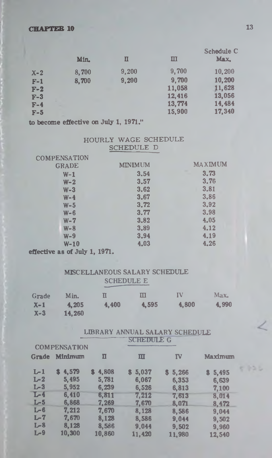|         | Min.  | П     | ш      | Schedule C<br>Max. |
|---------|-------|-------|--------|--------------------|
| $X - 2$ | 8,700 | 9,200 | 9,700  | 10,200             |
| $F-1$   | 8,700 | 9,200 | 9,700  | 10,200             |
| $F-2$   |       |       | 11,058 | 11,628             |
| $F-3$   |       |       | 12,416 | 13,056             |
| $F-4$   |       |       | 13,774 | 14,484             |
| $F-5$   |       |       | 15,900 | 17,340             |
|         |       |       |        |                    |

**to become effective on July 1, 1971."**

#### HOURLY WAGE SCHEDULE SCHEDULE D

| MINIMUM | <b>MAXIMUM</b> |
|---------|----------------|
| 3.54    | ٠<br>3.73      |
| 3.57    | 3.76           |
| 3.62    | 3.81           |
| 3.67    | 3.86           |
| 3.72    | 3.92           |
| 3.77    | 3.98           |
| 3.82    | 4.05           |
| 3.89    | 4.12           |
| 3.94    | 4.19           |
| 4.03    | 4.26           |
|         |                |

**effective as of July 1, 1971.**

#### MISCELLANEOUS SALARY SCHEDULE SCHEDULE E

| Grade | Min.   | п     | Ш     | IV    | Max.  |
|-------|--------|-------|-------|-------|-------|
| $X-1$ | 4.205  | 4.400 | 4.595 | 4,800 | 4.990 |
| $X-3$ | 14.260 |       |       |       |       |

#### LIBRARY ANNUAL SALARY SCHEDULE **\*-------------------- SCHEDULE G**

|         | <b>COMPENSATION</b> |                         |             |           |             |
|---------|---------------------|-------------------------|-------------|-----------|-------------|
| Grade   | Minimum             | $\overline{\mathbf{u}}$ | Ⅲ           | <b>TV</b> | Maximum     |
| $L-1$   | 4.579               | 4,808                   | 5,037<br>s. | \$5,266   | 5,495<br>з. |
| $L-2$   | 5,495               | 5.781                   | 6,067       | 6.353     | 6,639       |
| $L-3$   | 5.952               | 6.239                   | 6,526       | 6.813     | 7,100       |
| $L - 4$ | 6,410               | 6,811                   | 7.212       | 7.613     | 8,014       |
| $L-5$   | 6,868               | 7.269                   | 7.670       | 8,071     | 8.472       |
| $L - 6$ | 7.212               | 7.670                   | 8.128       | 8.586     | 9.044       |
| $L-7$   | 7,670               | 8.128                   | 8,586       | 9,044     | 9,502       |
| $L-8$   | 8.128               | 8,586                   | 9.044       | 9.502     | 9.960       |
| $L-9$   | 10,300              | 10.860                  | 11.420      | 11,980    | 12,540      |

 $c$   $b$   $b$   $c$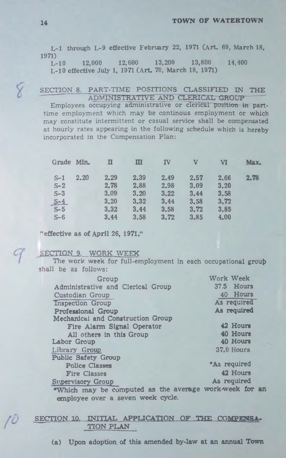L-1 through L-9 effective February 22, 1971 (Art. 69, March 18, 1971)

L-10 12,000 12,600 13,200 13,800 14.400 L-10 effective July 1, 1971 (Art. 70, March 18, 1971)

#### SECTION 8. PART-TIME POSITIONS CLASSIFIED IN THE ADMINISTRATIVE AND CLERICAL GROUP

Employees occupying administrative or clerical position in parttime employment which may be continous employment or which may constitute intermittent or casual service shall be compensated at hourly rates appearing in the following schedule which is hereby incorporated in the Compensation Plan:

| Grade Min. |      | П    | Ш    | ${\bf I}$ V | v    | VI   | Max. |
|------------|------|------|------|-------------|------|------|------|
| $S-1$      | 2.20 | 2.29 | 2.39 | 2.49        | 2.57 | 2.66 | 2.78 |
| $S-2$      |      | 2.78 | 2.88 | 2.98        | 3.09 | 3.20 |      |
| $S-3$      |      | 3.09 | 3.20 | 3.22        | 3.44 | 3.58 |      |
| $S-4$      |      | 3,20 | 3,32 | 3.44        | 3.58 | 3.72 |      |
| $S-5$      |      | 3,32 | 3.44 | 3.58        | 3.72 | 3.85 |      |
| $S-6$      |      | 3.44 | 3.58 | 3.72        | 3.85 | 4.00 |      |

"effective as of April 26, 1971."

**SECTION 9. WORK WEEK**

9

The work week for full-employment in each occupational group shall be as follows:

| Group                                                  | Work Week    |
|--------------------------------------------------------|--------------|
| Administrative and Clerical Group                      | 37.5 Hours   |
| Custodian Group                                        | 40 Hours     |
| <b>Inspection Group</b>                                | As required  |
| <b>Professional Group</b>                              | As required  |
| Mechanical and Construction Group                      |              |
| Fire Alarm Signal Operator                             | 42 Hours     |
| All others in this Group                               | 40 Hours     |
| Labor Group                                            | 40 Hours     |
| Library Group                                          | 37.0 Hours   |
| <b>Public Safety Group</b>                             |              |
| <b>Police Classes</b>                                  | *As required |
| <b>Fire Classes</b>                                    | 42 Hours     |
| <b>Supervisory Group</b>                               | As required  |
| "Which may be computed as the average work-week for an |              |
| employee over a seven week cycle.                      |              |

#### **SECTION 10. INITIAL APPLICATION OF THE COMPPTNSA-TTON PLAN**

(a) Upon adoption, of this amended by-law at an annual **Town**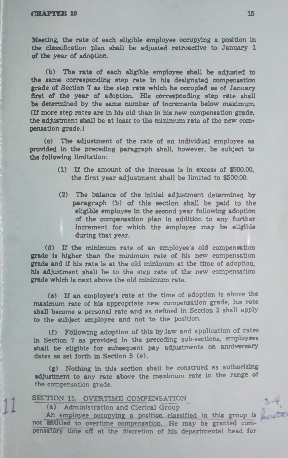**Meeting, the rate of each eligible employee occupying a position in the classification plan shall be adjusted retroactive to January 1 of the year of adoption.**

**(b ) The rate of each eligible employee shall be adjusted to the same corresponding step rate in his designated compensation grade of Section 7 as the step rate which he occupied as of January first of the year of adoption. His corresponding step rate shall be determined by the same number of increments below maximum. (If more step rates are in his old than in his new compensation grade, the adjustment shall be at least to the minimum rate of the new compensation grade.)**

**(c ) The adjustment of the rate of an individual employee as provided in the preceding paragraph shall, however, be subject to the following limitation:**

- **(1) If the amount of the increase is in excess of \$500.00, the first year adjustment shall be limited to \$500.00.**
- **(2) The balance of the initial adjustment determined by** paragraph (b) of this section shall be paid to the **eligible employee in the second year following adoption of the compensation plan in addition to any further increment for which the employee may be eligible during that year.**

(d) If the minimum rate of an employee's old compensation **grade is higher than the minimum rate of his new compensation grade and if his rate is at the old minimum at the time of adoption, his adjustment shall be to the step rate of the new compensation grade which is next above the old minimum rate.**

**(e ) If an employee's rate at the time of adoption is** above **the maximum rate of his appropriate new compensation grade, his rate shall become a personal rate and as defined in .Section** 2 shall apply **to the subject employee and not to the position.**

(f) Following adoption of this by-law and application of rates **in Section 7 as provided in the preceding sub-sections, employees shall be eligible for subsequent pay adjustments on anniversary dates as set forth in Section 5 (e ).**

**(g ) Nothing in this section shall be construed as authorizing adjustment to any rate above the maximum rate in the range of the compensation grade.**

SECTION 11. OVERTIME COMPENSATION

**(a ) Administration and Clerical Group**

**An employee occupying a position classified in this group is not'entitled to overtime compensation. He may be granted compensatory time off at the discretion of his departmental head for**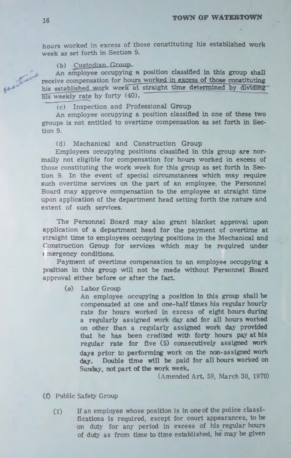hours worked in excess of those constituting his established work week as set forth in Section 9.

#### (b) Custodian Group

An employee occupying a position classified in this group shall receive compensation for hours worked in excess of those constituting his established work week at straight time determined by dividing his weekly rate by forty (40).

#### (c) Inspection and Professional Group

An employee occupying a position classified in one of these two groups is not entitled to overtime compensation as set forth in Section 9.

(d) Mechanical and Construction Group

Employees occupying positions classified in this group are normally not eligible for compensation for hours worked in excess of those constituting the work week for this group as set forth in Section 9. In the event of special circumstances which may require such overtime services on the part of an employee, the Personnel Board may approve compensation to the employee at straight time upon application of the department head setting forth the nature and extent of such services.

The Personnel Board may also grant blanket approval upon application of a department head for the payment of overtime at straight time to employees occupying positions in the Mechanical and Construction Group for services which may be required under *(* mergency conditions.

Payment of overtime compensation to an employee occupying **a** position in this group will not be made without Personnel Board approval either before or after the fact

(e) Labor Group

An employee occupying a position in this group shall be compensated at one and one-half times his regular hourly rate for hours worked in excess of eight hours during a regularly assigned work day and for all hours worked on other than a regularly assigned work day provided that he has been credited with forty hours pay at his regular rate for five (5) consecutively assigned work days prior to performing work on the non-assigned work day. Double time will be paid for all hours worked on Sunday, not part of the work week.

(Amended Art. 59, March 30, 1970)

- (f) Public Safety Group
	- (1) If an employee whose position is in one of the police classifications is required, except for court appearances, to be on duty for any period in excess of his regular hours of duty as from time to time established, he may be given

Hertine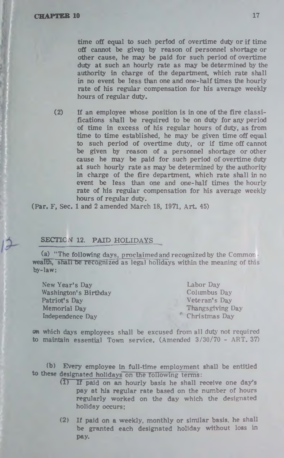time off equal to such period of overtime duty or if time off cannot be giver) by reason of personnel shortage or other cause, he may be paid for such period of overtime duty at such an hourly rate as may be determined by the authority in charge of the department, which rate shall in no event be less than one and one-half times the hourly rate of his regular compensation for his average weekly hours of regular duty.

(2) If an employee whose position is in one of the fire classifications shall be required to be on duty for any period of time in excess of his regular hours of duty, as from time to time established, he may be given time off equal to such period of overtime duty, or if time off cannot be given by reason of a personnel shortage or other cause he may be paid for such period of overtime duty at such hourly rate as may be determined by the authority in charge of the fire department, which rate shall in no event be less than one and one-half times the hourly rate of his regular compensation for his average weekly hours of regular duty.

(Par. F, Sec. 1 and 2 amended March 18, 1971, Art. 45)

#### SECTION 12. PAID HOLIDAYS

(a) "The following days, proclaimed and recognized by the **Common •** wealth, shall be recognized as legal holidays within the meaning **of** this by-law:

New Year's Day Washington's Birthday Patriot's Day Memorial Day Independence Day Labor Day

Columbus Day Veteran's Day Thangsgiving Day Christmas Day

on which days employees shall be excused from all duty not required to maintain essential Town service. (Amended **3/30/70** - **ART. 37)**

(b) Every employee In full-time employment shall be entitled to these designated holidays on the following terms:<br>(1) If paid on an hourly basis he shall re

- If paid on an hourly basis he shall receive one day's pay at his regular rate based on the number of hours regularly worked on the day which the designated holiday occurs:
- (2) If paid on a weekly, monthly or similar basis, he shall be granted each designated holiday without loss in pay.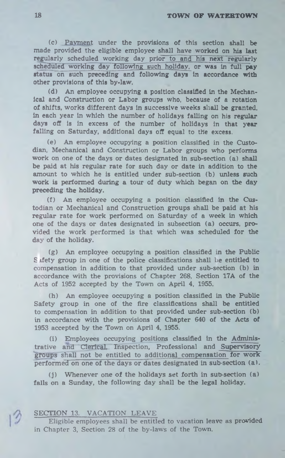#### **18 <b>TOWN OF WATERTOWN**

(c) Payment under the provisions of this section shall be made provided the eligible employee shall have worked on his last regularly scheduled working day prior to and his next regularly scheduled working day following such holiday, or was in full pay status on such preceding and following days in accordance with other provisions of this by-law.

(d) An employee occupying a position classified in the Mechanical and Construction or Labor groups who, because of a rotation of shifts, works different days in successive weeks shall be granted, in each year in which the number of holidays falling on his regular days off is in excess of the number of holidays in that year falling on Saturday, additional days off equal to the excess.

(e) An employee occupying a position classified in the Custodian, Mechanical and Construction or Labor groups who performs work on one of the days or dates designated in sub-section (a) shall be paid at his regular rate for such day or date in addition to the amount to which he is entitled under sub-section (b) unless such work is performed during a tour of duty which began on the day preceding the holiday.

(f) An employee occupying a position classified in the Custodian or Mechanical and Construction groups shall be paid at his regular rate for work performed on Saturday of a week in which one of the days or dates designated in subsection (a) occurs, provided the work performed is that which was scheduled for the day of the holiday.

(g) An employee occupying a position classified in the Public S ifety group in one of the police classifications shall be entitled to compensation in addition to that provided under sub-section (b) in accordance with the provisions of Chapter 268, Section 17A of the Acts of 1952 accepted by the Town on April 4, 1955.

(h) An employee occupying a position classified in the Public Safety group in one of the fire classifications shall be entitled to compensation in addition to that provided under sub-section (b) in accordance with the provisions of Chapter 640 of the Acts of 1953 accepted by the Town on April 4, 1955.

(i) Employees occupying positions classified in the Administrative and" Clerical. Tnspection, Professional and Supervisory groups shall not be entitled to additional compensation for work performed on one of the days or dates designated in sub-section (a).

 $(j)$  Whenever one of the holidays set forth in sub-section  $(a)$ falls on a Sunday, the following day shall be the legal holiday.

#### SECTION 13. VACATION LEAVE

Eligible employees shall be entitled to vacation leave as provided in Chapter 3, Section 28 of the by-laws of the Town.